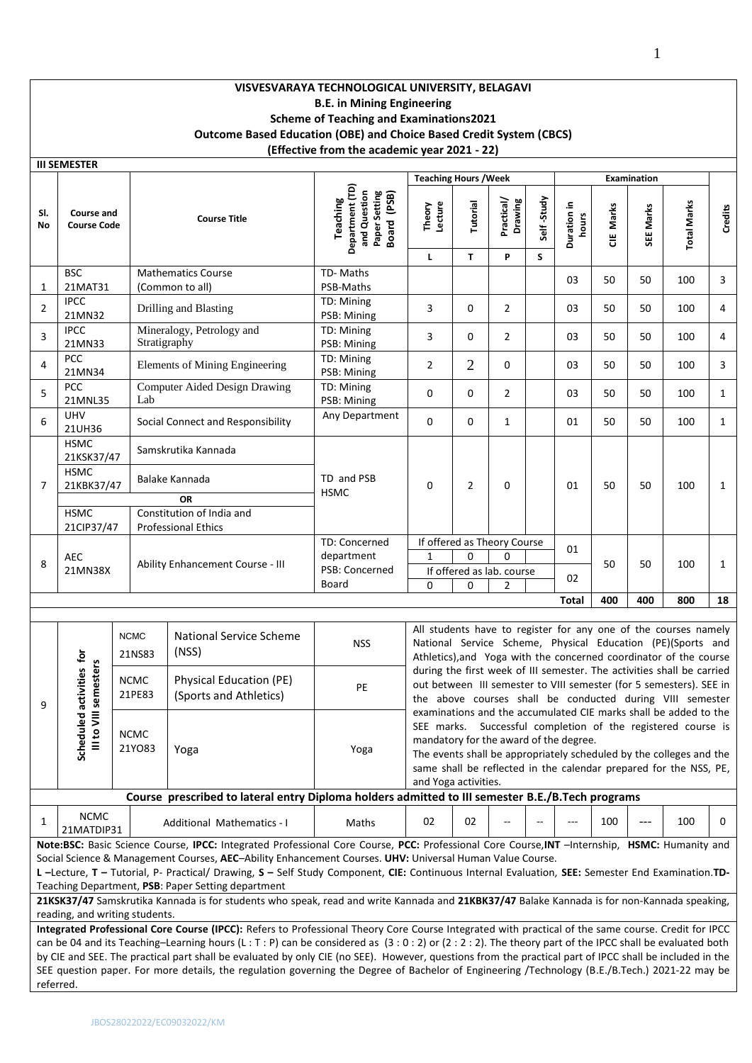# **VISVESVARAYA TECHNOLOGICAL UNIVERSITY, BELAGAVI B.E. in Mining Engineering Scheme of Teaching and Examinations2021 Outcome Based Education (OBE) and Choice Based Credit System (CBCS) (Effective from the academic year 2021 - 22)**

|                | <b>III SEMESTER</b>                      |                       |                                                                                                                                                                                                                                                                                                                                                                                                                                                                                                                                                                                                                |                                                                                    | <b>Teaching Hours / Week</b> |                                                                |                                                               |                  |                                                                                                                                                                                                                                                                              |            | Examination                                                                                                                                                                                         |                                                                                                                                                                                                            |                |
|----------------|------------------------------------------|-----------------------|----------------------------------------------------------------------------------------------------------------------------------------------------------------------------------------------------------------------------------------------------------------------------------------------------------------------------------------------------------------------------------------------------------------------------------------------------------------------------------------------------------------------------------------------------------------------------------------------------------------|------------------------------------------------------------------------------------|------------------------------|----------------------------------------------------------------|---------------------------------------------------------------|------------------|------------------------------------------------------------------------------------------------------------------------------------------------------------------------------------------------------------------------------------------------------------------------------|------------|-----------------------------------------------------------------------------------------------------------------------------------------------------------------------------------------------------|------------------------------------------------------------------------------------------------------------------------------------------------------------------------------------------------------------|----------------|
| SI.<br>No      | <b>Course and</b><br><b>Course Code</b>  |                       | <b>Course Title</b>                                                                                                                                                                                                                                                                                                                                                                                                                                                                                                                                                                                            | Department (TD)<br>Paper Setting<br>Board (PSB)<br>and Question<br><b>Teaching</b> | Theory<br>Lecture<br>L.      | Tutorial<br>T                                                  | Practical/<br>Drawing<br>P                                    | Self-Study<br>S. | Duration in<br>hours                                                                                                                                                                                                                                                         | Marks<br>٣ | SEE Marks                                                                                                                                                                                           | <b>Total Marks</b>                                                                                                                                                                                         | <b>Credits</b> |
|                | <b>BSC</b>                               |                       | <b>Mathematics Course</b>                                                                                                                                                                                                                                                                                                                                                                                                                                                                                                                                                                                      | TD-Maths                                                                           |                              |                                                                |                                                               |                  |                                                                                                                                                                                                                                                                              |            |                                                                                                                                                                                                     |                                                                                                                                                                                                            |                |
| 1              | 21MAT31                                  |                       | (Common to all)                                                                                                                                                                                                                                                                                                                                                                                                                                                                                                                                                                                                | PSB-Maths                                                                          |                              |                                                                |                                                               |                  | 03                                                                                                                                                                                                                                                                           | 50         | 50                                                                                                                                                                                                  | 100                                                                                                                                                                                                        | 3              |
| $\overline{2}$ | <b>IPCC</b><br>21MN32                    |                       | Drilling and Blasting                                                                                                                                                                                                                                                                                                                                                                                                                                                                                                                                                                                          | TD: Mining<br>PSB: Mining                                                          | 3                            | 0                                                              | $\overline{2}$                                                |                  | 03                                                                                                                                                                                                                                                                           | 50         | 50                                                                                                                                                                                                  | 100                                                                                                                                                                                                        | 4              |
| 3              | <b>IPCC</b><br>21MN33                    |                       | Mineralogy, Petrology and<br>Stratigraphy                                                                                                                                                                                                                                                                                                                                                                                                                                                                                                                                                                      | TD: Mining<br>PSB: Mining                                                          | 3                            | 0                                                              | $\overline{2}$                                                |                  | 03                                                                                                                                                                                                                                                                           | 50         | 50                                                                                                                                                                                                  | 100                                                                                                                                                                                                        | 4              |
| 4              | <b>PCC</b><br>21MN34                     |                       | Elements of Mining Engineering                                                                                                                                                                                                                                                                                                                                                                                                                                                                                                                                                                                 | TD: Mining<br>PSB: Mining                                                          | 2                            | $\overline{2}$                                                 | 0                                                             |                  | 03                                                                                                                                                                                                                                                                           | 50         | 50                                                                                                                                                                                                  | 100                                                                                                                                                                                                        | 3              |
| 5              | PCC<br>21MNL35                           | Lab                   | <b>Computer Aided Design Drawing</b>                                                                                                                                                                                                                                                                                                                                                                                                                                                                                                                                                                           | TD: Mining<br>PSB: Mining                                                          | 0                            | 0                                                              | $\overline{2}$                                                |                  | 03                                                                                                                                                                                                                                                                           | 50         | 50                                                                                                                                                                                                  | 100                                                                                                                                                                                                        | $\mathbf{1}$   |
| 6              | <b>UHV</b><br>21UH36                     |                       | Social Connect and Responsibility                                                                                                                                                                                                                                                                                                                                                                                                                                                                                                                                                                              | Any Department                                                                     | 0                            | 0                                                              | $\mathbf{1}$                                                  |                  | 01                                                                                                                                                                                                                                                                           | 50         | 50                                                                                                                                                                                                  | 100                                                                                                                                                                                                        | $\mathbf{1}$   |
|                | <b>HSMC</b><br>21KSK37/47<br><b>HSMC</b> |                       | Samskrutika Kannada<br>Balake Kannada                                                                                                                                                                                                                                                                                                                                                                                                                                                                                                                                                                          | TD and PSB                                                                         |                              |                                                                |                                                               |                  |                                                                                                                                                                                                                                                                              |            |                                                                                                                                                                                                     |                                                                                                                                                                                                            |                |
| 7              | 21KBK37/47<br><b>HSMC</b><br>21CIP37/47  |                       | <b>OR</b><br>Constitution of India and<br><b>Professional Ethics</b>                                                                                                                                                                                                                                                                                                                                                                                                                                                                                                                                           | <b>HSMC</b>                                                                        | 0                            | 2                                                              | 0                                                             |                  | 01                                                                                                                                                                                                                                                                           | 50         | 50                                                                                                                                                                                                  | 100                                                                                                                                                                                                        | $\mathbf{1}$   |
| 8              | AEC<br>21MN38X                           |                       | Ability Enhancement Course - III                                                                                                                                                                                                                                                                                                                                                                                                                                                                                                                                                                               | TD: Concerned<br>department<br>PSB: Concerned<br>Board                             | 1<br>0                       | $\Omega$<br>$\Omega$                                           | If offered as Theory Course<br>O<br>If offered as lab. course |                  | 01<br>02                                                                                                                                                                                                                                                                     | 50         | 50                                                                                                                                                                                                  | 100                                                                                                                                                                                                        | $\mathbf{1}$   |
|                |                                          |                       |                                                                                                                                                                                                                                                                                                                                                                                                                                                                                                                                                                                                                |                                                                                    |                              |                                                                | $\overline{2}$                                                |                  | <b>Total</b>                                                                                                                                                                                                                                                                 | 400        | 400                                                                                                                                                                                                 | 800                                                                                                                                                                                                        | 18             |
|                |                                          |                       |                                                                                                                                                                                                                                                                                                                                                                                                                                                                                                                                                                                                                |                                                                                    |                              |                                                                |                                                               |                  |                                                                                                                                                                                                                                                                              |            |                                                                                                                                                                                                     |                                                                                                                                                                                                            |                |
|                |                                          | <b>NCMC</b><br>21NS83 | <b>National Service Scheme</b><br>(NSS)                                                                                                                                                                                                                                                                                                                                                                                                                                                                                                                                                                        | <b>NSS</b>                                                                         |                              |                                                                |                                                               |                  |                                                                                                                                                                                                                                                                              |            | All students have to register for any one of the courses namely<br>National Service Scheme, Physical Education (PE)(Sports and<br>Athletics), and Yoga with the concerned coordinator of the course |                                                                                                                                                                                                            |                |
| 9              | led activities for<br>VIII semesters     | <b>NCMC</b><br>21PE83 | Physical Education (PE)<br>(Sports and Athletics)                                                                                                                                                                                                                                                                                                                                                                                                                                                                                                                                                              | PE                                                                                 |                              |                                                                |                                                               |                  |                                                                                                                                                                                                                                                                              |            |                                                                                                                                                                                                     | during the first week of III semester. The activities shall be carried<br>out between III semester to VIII semester (for 5 semesters). SEE in<br>the above courses shall be conducted during VIII semester |                |
|                | Schedul<br>$\frac{1}{2}$                 | <b>NCMC</b><br>21YO83 | Yoga                                                                                                                                                                                                                                                                                                                                                                                                                                                                                                                                                                                                           | Yoga                                                                               |                              | mandatory for the award of the degree.<br>and Yoga activities. |                                                               |                  | examinations and the accumulated CIE marks shall be added to the<br>SEE marks. Successful completion of the registered course is<br>The events shall be appropriately scheduled by the colleges and the<br>same shall be reflected in the calendar prepared for the NSS, PE, |            |                                                                                                                                                                                                     |                                                                                                                                                                                                            |                |
|                |                                          |                       | Course prescribed to lateral entry Diploma holders admitted to III semester B.E./B.Tech programs                                                                                                                                                                                                                                                                                                                                                                                                                                                                                                               |                                                                                    |                              |                                                                |                                                               |                  |                                                                                                                                                                                                                                                                              |            |                                                                                                                                                                                                     |                                                                                                                                                                                                            |                |
| 1              | <b>NCMC</b><br>21MATDIP31                |                       | Additional Mathematics - I                                                                                                                                                                                                                                                                                                                                                                                                                                                                                                                                                                                     | Maths                                                                              | 02                           | 02                                                             |                                                               |                  |                                                                                                                                                                                                                                                                              | 100        |                                                                                                                                                                                                     | 100                                                                                                                                                                                                        | 0              |
|                | reading, and writing students.           |                       | Note:BSC: Basic Science Course, IPCC: Integrated Professional Core Course, PCC: Professional Core Course, INT -Internship, HSMC: Humanity and<br>Social Science & Management Courses, AEC-Ability Enhancement Courses. UHV: Universal Human Value Course.<br>L-Lecture, T-Tutorial, P- Practical/ Drawing, S-Self Study Component, CIE: Continuous Internal Evaluation, SEE: Semester End Examination.TD-<br>Teaching Department, PSB: Paper Setting department<br>21KSK37/47 Samskrutika Kannada is for students who speak, read and write Kannada and 21KBK37/47 Balake Kannada is for non-Kannada speaking, |                                                                                    |                              |                                                                |                                                               |                  |                                                                                                                                                                                                                                                                              |            |                                                                                                                                                                                                     |                                                                                                                                                                                                            |                |
|                |                                          |                       | Integrated Professional Core Course (IPCC): Refers to Professional Theory Core Course Integrated with practical of the same course. Credit for IPCC<br>can be 04 and its Teaching-Learning hours (L: T: P) can be considered as (3:0:2) or (2:2:2). The theory part of the IPCC shall be evaluated both                                                                                                                                                                                                                                                                                                        |                                                                                    |                              |                                                                |                                                               |                  |                                                                                                                                                                                                                                                                              |            |                                                                                                                                                                                                     |                                                                                                                                                                                                            |                |
|                |                                          |                       | by CIE and SEE. The practical part shall be evaluated by only CIE (no SEE). However, questions from the practical part of IPCC shall be included in the<br>SEE question paper. For more details, the regulation governing the Degree of Bachelor of Engineering /Technology (B.E./B.Tech.) 2021-22 may be                                                                                                                                                                                                                                                                                                      |                                                                                    |                              |                                                                |                                                               |                  |                                                                                                                                                                                                                                                                              |            |                                                                                                                                                                                                     |                                                                                                                                                                                                            |                |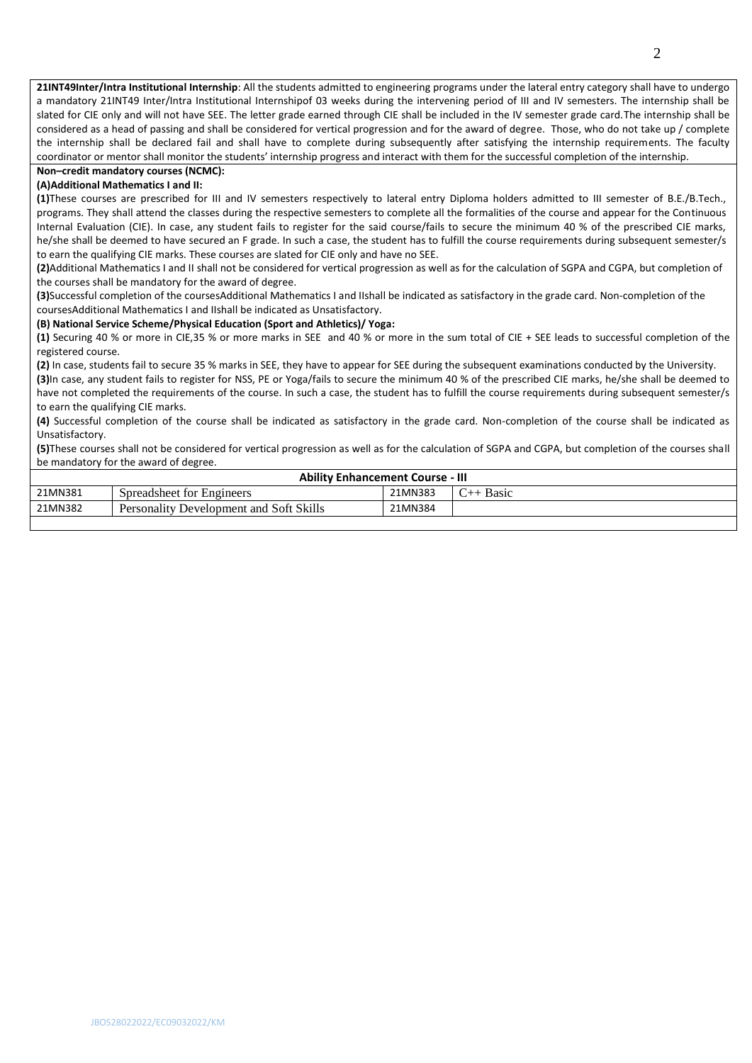**21INT49Inter/Intra Institutional Internship**: All the students admitted to engineering programs under the lateral entry category shall have to undergo a mandatory 21INT49 Inter/Intra Institutional Internshipof 03 weeks during the intervening period of III and IV semesters. The internship shall be slated for CIE only and will not have SEE. The letter grade earned through CIE shall be included in the IV semester grade card.The internship shall be considered as a head of passing and shall be considered for vertical progression and for the award of degree. Those, who do not take up / complete the internship shall be declared fail and shall have to complete during subsequently after satisfying the internship requirements. The faculty coordinator or mentor shall monitor the students' internship progress and interact with them for the successful completion of the internship.

#### **Non–credit mandatory courses (NCMC):**

#### **(A)Additional Mathematics I and II:**

**(1)**These courses are prescribed for III and IV semesters respectively to lateral entry Diploma holders admitted to III semester of B.E./B.Tech., programs. They shall attend the classes during the respective semesters to complete all the formalities of the course and appear for the Continuous Internal Evaluation (CIE). In case, any student fails to register for the said course/fails to secure the minimum 40 % of the prescribed CIE marks, he/she shall be deemed to have secured an F grade. In such a case, the student has to fulfill the course requirements during subsequent semester/s to earn the qualifying CIE marks. These courses are slated for CIE only and have no SEE.

**(2)**Additional Mathematics I and II shall not be considered for vertical progression as well as for the calculation of SGPA and CGPA, but completion of the courses shall be mandatory for the award of degree.

**(3)**Successful completion of the coursesAdditional Mathematics I and IIshall be indicated as satisfactory in the grade card. Non-completion of the coursesAdditional Mathematics I and IIshall be indicated as Unsatisfactory.

#### **(B) National Service Scheme/Physical Education (Sport and Athletics)/ Yoga:**

**(1)** Securing 40 % or more in CIE,35 % or more marks in SEE and 40 % or more in the sum total of CIE + SEE leads to successful completion of the registered course.

**(2)** In case, students fail to secure 35 % marks in SEE, they have to appear for SEE during the subsequent examinations conducted by the University. **(3)**In case, any student fails to register for NSS, PE or Yoga/fails to secure the minimum 40 % of the prescribed CIE marks, he/she shall be deemed to have not completed the requirements of the course. In such a case, the student has to fulfill the course requirements during subsequent semester/s to earn the qualifying CIE marks.

**(4)** Successful completion of the course shall be indicated as satisfactory in the grade card. Non-completion of the course shall be indicated as Unsatisfactory.

**(5)**These courses shall not be considered for vertical progression as well as for the calculation of SGPA and CGPA, but completion of the courses shall be mandatory for the award of degree.

| <b>Ability Enhancement Course - III</b> |                                         |         |                      |  |  |  |  |  |
|-----------------------------------------|-----------------------------------------|---------|----------------------|--|--|--|--|--|
| 21MN381                                 | Spreadsheet for Engineers               | 21MN383 | <b>Basic</b><br>$\!$ |  |  |  |  |  |
| 21MN382                                 | Personality Development and Soft Skills | 21MN384 |                      |  |  |  |  |  |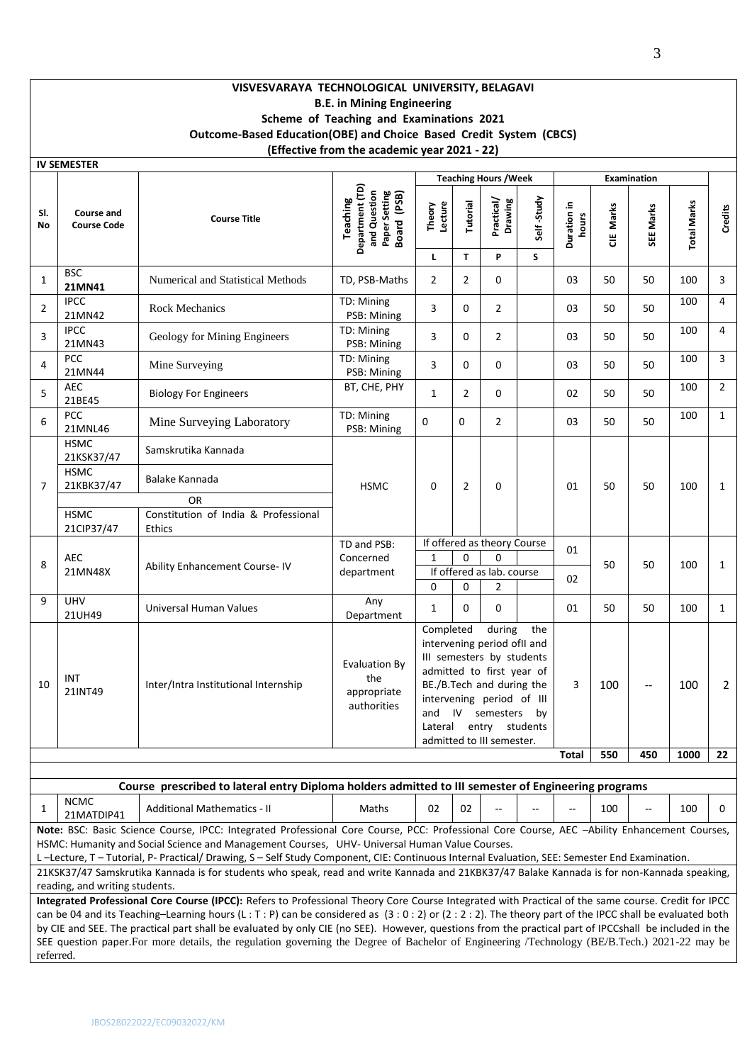# **VISVESVARAYA TECHNOLOGICAL UNIVERSITY, BELAGAVI B.E. in Mining Engineering Scheme of Teaching and Examinations 2021 Outcome-Based Education(OBE) and Choice Based Credit System (CBCS) (Effective from the academic year 2021 - 22)**

|                  | <b>IV SEMESTER</b>                      |                                                                                                     |                                                                                    |                             |                |                                                                                                                                                                                                                       |            |                      |           |             |                    |                |
|------------------|-----------------------------------------|-----------------------------------------------------------------------------------------------------|------------------------------------------------------------------------------------|-----------------------------|----------------|-----------------------------------------------------------------------------------------------------------------------------------------------------------------------------------------------------------------------|------------|----------------------|-----------|-------------|--------------------|----------------|
|                  |                                         |                                                                                                     |                                                                                    |                             |                | <b>Teaching Hours / Week</b>                                                                                                                                                                                          |            |                      |           | Examination |                    |                |
| SI.<br><b>No</b> | <b>Course and</b><br><b>Course Code</b> | <b>Course Title</b>                                                                                 | Department (TD)<br>Paper Setting<br>and Question<br>Board (PSB)<br><b>Teaching</b> | Theory<br>Lecture           | Tutorial       | Practical/<br>Drawing                                                                                                                                                                                                 | Self-Study | Duration in<br>hours | CIE Marks | SEE Marks   | <b>Total Marks</b> | Credits        |
|                  |                                         |                                                                                                     |                                                                                    | L                           | $\mathbf{T}$   | P                                                                                                                                                                                                                     | S          |                      |           |             |                    |                |
| $\mathbf{1}$     | <b>BSC</b><br>21MN41                    | Numerical and Statistical Methods                                                                   | TD, PSB-Maths                                                                      | $\overline{2}$              | $\overline{2}$ | 0                                                                                                                                                                                                                     |            | 03                   | 50        | 50          | 100                | 3              |
| $\overline{2}$   | <b>IPCC</b><br>21MN42                   | <b>Rock Mechanics</b>                                                                               | TD: Mining<br>PSB: Mining                                                          | 3                           | 0              | $\overline{2}$                                                                                                                                                                                                        |            | 03                   | 50        | 50          | 100                | 4              |
| 3                | <b>IPCC</b><br>21MN43                   | Geology for Mining Engineers                                                                        | TD: Mining<br>PSB: Mining                                                          | 3                           | 0              | $\overline{2}$                                                                                                                                                                                                        |            | 03                   | 50        | 50          | 100                | $\overline{4}$ |
| 4                | <b>PCC</b><br>21MN44                    | Mine Surveying                                                                                      | TD: Mining<br>PSB: Mining                                                          | 3                           | $\Omega$       | $\Omega$                                                                                                                                                                                                              |            | 03                   | 50        | 50          | 100                | $\overline{3}$ |
| 5                | <b>AEC</b><br>21BE45                    | <b>Biology For Engineers</b>                                                                        | BT, CHE, PHY                                                                       | $\mathbf{1}$                | $\overline{2}$ | $\Omega$                                                                                                                                                                                                              |            | 02                   | 50        | 50          | 100                | $\overline{2}$ |
| 6                | <b>PCC</b><br>21MNL46                   | Mine Surveying Laboratory                                                                           | TD: Mining<br>PSB: Mining                                                          | 0                           | 0              | $\overline{2}$                                                                                                                                                                                                        |            | 03                   | 50        | 50          | 100                | $\mathbf{1}$   |
|                  | <b>HSMC</b><br>21KSK37/47               | Samskrutika Kannada                                                                                 |                                                                                    |                             |                |                                                                                                                                                                                                                       |            |                      |           |             |                    |                |
| 7                | <b>HSMC</b><br>21KBK37/47               | Balake Kannada                                                                                      | <b>HSMC</b>                                                                        | 0                           | $\overline{2}$ | 0                                                                                                                                                                                                                     |            | 01                   | 50        | 50          | 100                | $\mathbf{1}$   |
|                  |                                         | OR                                                                                                  |                                                                                    |                             |                |                                                                                                                                                                                                                       |            |                      |           |             |                    |                |
|                  | <b>HSMC</b><br>21CIP37/47               | Constitution of India & Professional<br><b>Ethics</b>                                               |                                                                                    |                             |                |                                                                                                                                                                                                                       |            |                      |           |             |                    |                |
|                  |                                         |                                                                                                     | TD and PSB:                                                                        |                             |                | If offered as theory Course                                                                                                                                                                                           |            | 01                   |           |             |                    |                |
| 8                | <b>AEC</b>                              |                                                                                                     | Concerned                                                                          | $\mathbf{1}$                | $\Omega$       | $\Omega$                                                                                                                                                                                                              |            |                      | 50        | 50          | 100                | $\mathbf{1}$   |
|                  | 21MN48X                                 | Ability Enhancement Course-IV                                                                       | department                                                                         |                             |                | If offered as lab. course                                                                                                                                                                                             |            | 02                   |           |             |                    |                |
|                  |                                         |                                                                                                     |                                                                                    | $\Omega$                    | $\Omega$       | $\overline{2}$                                                                                                                                                                                                        |            |                      |           |             |                    |                |
| 9                | <b>UHV</b><br>21UH49                    | Universal Human Values                                                                              | Any<br>Department                                                                  | $\mathbf{1}$                | 0              | $\mathbf 0$                                                                                                                                                                                                           |            | 01                   | 50        | 50          | 100                | $\mathbf{1}$   |
| 10               | INT<br>21INT49                          | Inter/Intra Institutional Internship                                                                | <b>Evaluation By</b><br>the<br>appropriate<br>authorities                          | Completed<br>and<br>Lateral | IV             | during<br>intervening period ofII and<br>III semesters by students<br>admitted to first year of<br>BE./B.Tech and during the<br>intervening period of III<br>semesters<br>entry students<br>admitted to III semester. | the<br>by  | 3                    | 100       | Ξ.          | 100                | $\overline{2}$ |
|                  |                                         |                                                                                                     |                                                                                    |                             |                |                                                                                                                                                                                                                       |            | <b>Total</b>         | 550       | 450         | 1000               | 22             |
|                  |                                         |                                                                                                     |                                                                                    |                             |                |                                                                                                                                                                                                                       |            |                      |           |             |                    |                |
|                  |                                         | Course prescribed to lateral entry Diploma holders admitted to III semester of Engineering programs |                                                                                    |                             |                |                                                                                                                                                                                                                       |            |                      |           |             |                    |                |
|                  | <b>NCMC</b>                             |                                                                                                     |                                                                                    |                             |                |                                                                                                                                                                                                                       |            |                      |           |             |                    |                |

NCIVIC<br>21MATDIP41 | Additional Mathematics - II | Maths | 02 | 02 | -- | -- | -- | 100 | -- | 100 | 0 **Note:** BSC: Basic Science Course, IPCC: Integrated Professional Core Course, PCC: Professional Core Course, AEC –Ability Enhancement Courses, HSMC: Humanity and Social Science and Management Courses, UHV- Universal Human Value Courses.

L –Lecture, T – Tutorial, P- Practical/ Drawing, S – Self Study Component, CIE: Continuous Internal Evaluation, SEE: Semester End Examination.

21KSK37/47 Samskrutika Kannada is for students who speak, read and write Kannada and 21KBK37/47 Balake Kannada is for non-Kannada speaking, reading, and writing students.

**Integrated Professional Core Course (IPCC):** Refers to Professional Theory Core Course Integrated with Practical of the same course. Credit for IPCC can be 04 and its Teaching–Learning hours (L : T : P) can be considered as  $(3:0:2)$  or  $(2:2:2)$ . The theory part of the IPCC shall be evaluated both by CIE and SEE. The practical part shall be evaluated by only CIE (no SEE). However, questions from the practical part of IPCCshall be included in the SEE question paper.For more details, the regulation governing the Degree of Bachelor of Engineering /Technology (BE/B.Tech.) 2021-22 may be referred.

1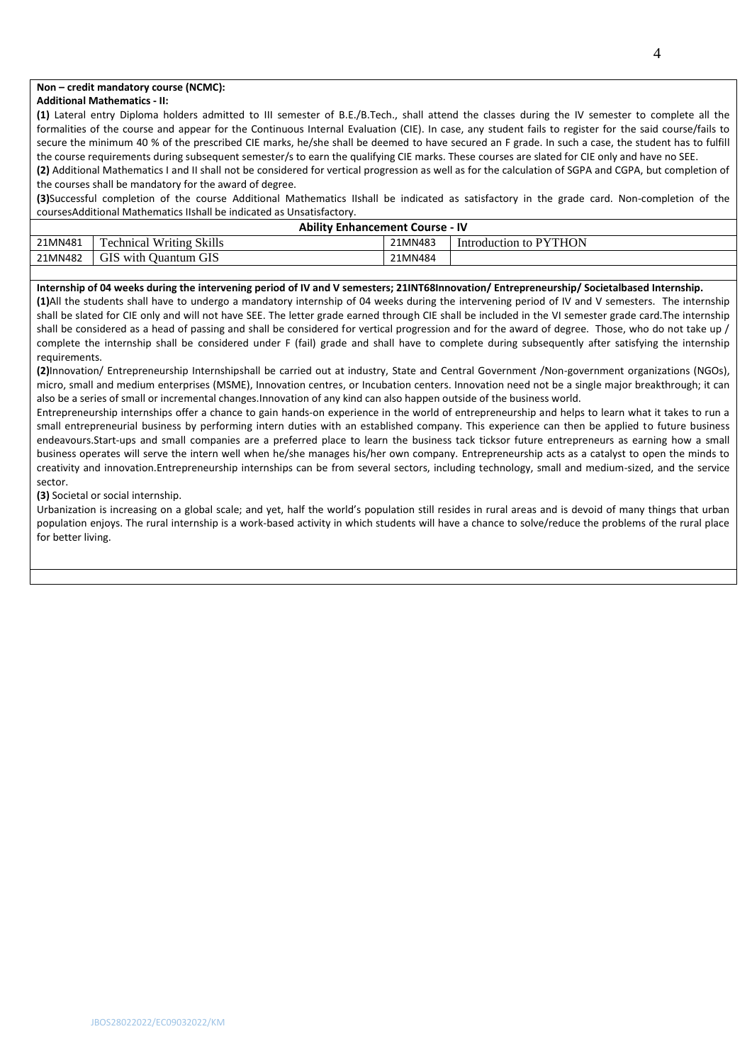# **Non – credit mandatory course (NCMC):**

#### **Additional Mathematics - II:**

**(1)** Lateral entry Diploma holders admitted to III semester of B.E./B.Tech., shall attend the classes during the IV semester to complete all the formalities of the course and appear for the Continuous Internal Evaluation (CIE). In case, any student fails to register for the said course/fails to secure the minimum 40 % of the prescribed CIE marks, he/she shall be deemed to have secured an F grade. In such a case, the student has to fulfill the course requirements during subsequent semester/s to earn the qualifying CIE marks. These courses are slated for CIE only and have no SEE.

**(2)** Additional Mathematics I and II shall not be considered for vertical progression as well as for the calculation of SGPA and CGPA, but completion of the courses shall be mandatory for the award of degree.

**(3)**Successful completion of the course Additional Mathematics IIshall be indicated as satisfactory in the grade card. Non-completion of the coursesAdditional Mathematics IIshall be indicated as Unsatisfactory.

|         | <b>Ability Enhancement Course - IV</b> |         |                        |  |  |  |  |  |  |
|---------|----------------------------------------|---------|------------------------|--|--|--|--|--|--|
| 21MN481 | <b>Technical Writing Skills</b>        | 21MN483 | Introduction to PYTHON |  |  |  |  |  |  |
| 21MN482 | GIS with Quantum GIS                   | 21MN484 |                        |  |  |  |  |  |  |

#### **Internship of 04 weeks during the intervening period of IV and V semesters; 21INT68Innovation/ Entrepreneurship/ Societalbased Internship.**

**(1)**All the students shall have to undergo a mandatory internship of 04 weeks during the intervening period of IV and V semesters. The internship shall be slated for CIE only and will not have SEE. The letter grade earned through CIE shall be included in the VI semester grade card.The internship shall be considered as a head of passing and shall be considered for vertical progression and for the award of degree. Those, who do not take up / complete the internship shall be considered under F (fail) grade and shall have to complete during subsequently after satisfying the internship requirements.

**(2)**Innovation/ Entrepreneurship Internshipshall be carried out at industry, State and Central Government /Non-government organizations (NGOs), micro, small and medium enterprises (MSME), Innovation centres, or Incubation centers. Innovation need not be a single major breakthrough; it can also be a series of small or incremental changes.Innovation of any kind can also happen outside of the business world.

Entrepreneurship internships offer a chance to gain hands-on experience in the world of entrepreneurship and helps to learn what it takes to run a small entrepreneurial business by performing intern duties with an established company. This experience can then be applied to future business endeavours.Start-ups and small companies are a preferred place to learn the business tack ticksor future entrepreneurs as earning how a small business operates will serve the intern well when he/she manages his/her own company. Entrepreneurship acts as a catalyst to open the minds to creativity and innovation.Entrepreneurship internships can be from several sectors, including technology, small and medium-sized, and the service sector.

**(3)** Societal or social internship.

Urbanization is increasing on a global scale; and yet, half the world's population still resides in rural areas and is devoid of many things that urban population enjoys. The rural internship is a work-based activity in which students will have a chance to solve/reduce the problems of the rural place for better living.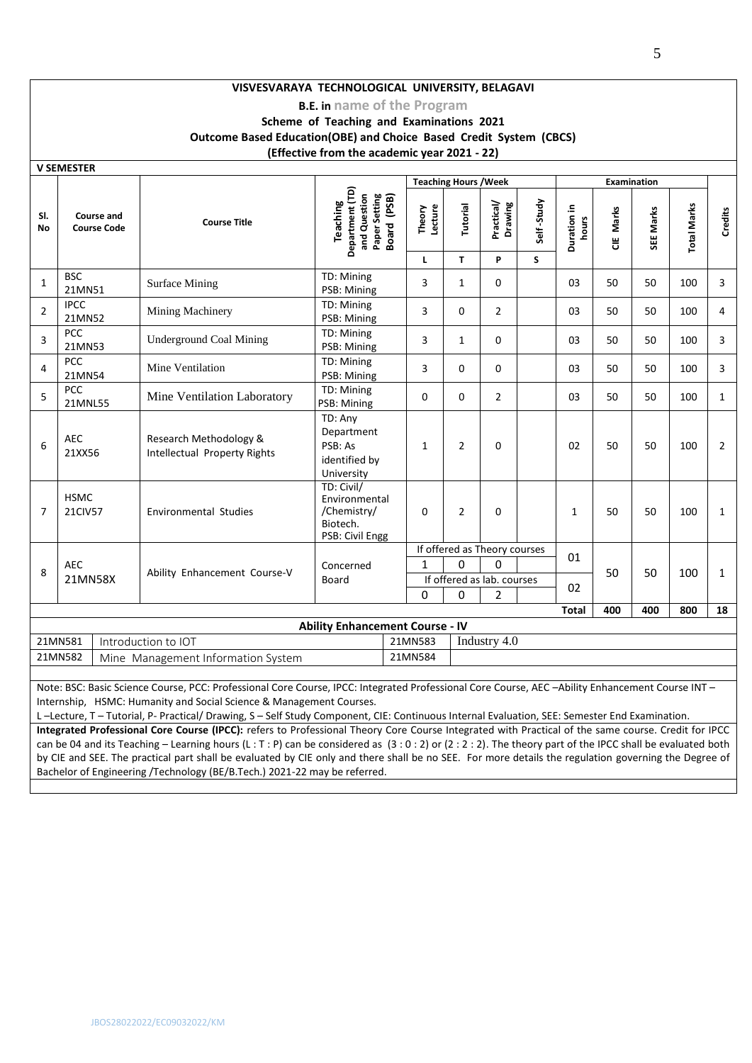# **VISVESVARAYA TECHNOLOGICAL UNIVERSITY, BELAGAVI**

# **B.E. in name of the Program**

# **Scheme of Teaching and Examinations 2021 Outcome Based Education(OBE) and Choice Based Credit System (CBCS) (Effective from the academic year 2021 - 22)**

**V SEMESTER**

|                | V JLIVILJ I LN<br><b>Teaching Hours / Week</b><br><b>Examination</b>                                                                                                                                                    |                                                        |                                                                             |                   |                |                              |            |                      |           |           |                    |                |
|----------------|-------------------------------------------------------------------------------------------------------------------------------------------------------------------------------------------------------------------------|--------------------------------------------------------|-----------------------------------------------------------------------------|-------------------|----------------|------------------------------|------------|----------------------|-----------|-----------|--------------------|----------------|
| SI.<br>No      | <b>Course and</b><br><b>Course Code</b>                                                                                                                                                                                 | <b>Course Title</b>                                    | Department (TD)<br>Paper Setting<br>Board (PSB)<br>and Question<br>Teaching | Theory<br>Lecture | Tutorial       | Practical/<br>Drawing        | Self-Study | Duration in<br>hours | CIE Marks | SEE Marks | <b>Total Marks</b> | Credits        |
|                |                                                                                                                                                                                                                         |                                                        |                                                                             | L                 | T.             | P                            | S          |                      |           |           |                    |                |
| $\mathbf{1}$   | <b>BSC</b><br>21MN51                                                                                                                                                                                                    | <b>Surface Mining</b>                                  | TD: Mining<br>PSB: Mining                                                   | 3                 | $\mathbf{1}$   | $\Omega$                     |            | 03                   | 50        | 50        | 100                | 3              |
| $\overline{2}$ | <b>IPCC</b><br>21MN52                                                                                                                                                                                                   | Mining Machinery                                       | TD: Mining<br>PSB: Mining                                                   | 3                 | $\Omega$       | $\overline{2}$               |            | 03                   | 50        | 50        | 100                | 4              |
| 3              | PCC<br>21MN53                                                                                                                                                                                                           | <b>Underground Coal Mining</b>                         | TD: Mining<br>PSB: Mining                                                   | 3                 | $\mathbf{1}$   | $\Omega$                     |            | 03                   | 50        | 50        | 100                | 3              |
| 4              | PCC<br>21MN54                                                                                                                                                                                                           | Mine Ventilation                                       | TD: Mining<br>PSB: Mining                                                   | 3                 | $\Omega$       | $\Omega$                     |            | 03                   | 50        | 50        | 100                | 3              |
| 5              | <b>PCC</b><br>21MNL55                                                                                                                                                                                                   | Mine Ventilation Laboratory                            | TD: Mining<br>PSB: Mining                                                   | 0                 | $\Omega$       | $\overline{2}$               |            | 03                   | 50        | 50        | 100                | $\mathbf{1}$   |
| 6              | <b>AEC</b><br>21XX56                                                                                                                                                                                                    | Research Methodology &<br>Intellectual Property Rights | TD: Any<br>Department<br>PSB: As<br>identified by<br>University             | $\mathbf{1}$      | 2              | $\Omega$                     |            | 02                   | 50        | 50        | 100                | $\overline{2}$ |
| $\overline{7}$ | <b>HSMC</b><br>21CIV57                                                                                                                                                                                                  | <b>Environmental Studies</b>                           | TD: Civil/<br>Environmental<br>/Chemistry/<br>Biotech.<br>PSB: Civil Engg   | $\Omega$          | $\overline{2}$ | 0                            |            | 1                    | 50        | 50        | 100                | $\mathbf{1}$   |
|                |                                                                                                                                                                                                                         |                                                        |                                                                             |                   |                | If offered as Theory courses |            | 01                   |           |           |                    |                |
| 8              | <b>AEC</b>                                                                                                                                                                                                              | Ability Enhancement Course-V                           | Concerned                                                                   | 1                 | O              | $\Omega$                     |            |                      | 50        | 50        | 100                | $\mathbf{1}$   |
|                | 21MN58X                                                                                                                                                                                                                 |                                                        | Board                                                                       |                   |                | If offered as lab. courses   |            | 02                   |           |           |                    |                |
|                |                                                                                                                                                                                                                         |                                                        |                                                                             | $\Omega$          | $\Omega$       | 2                            |            | <b>Total</b>         | 400       | 400       | 800                |                |
|                |                                                                                                                                                                                                                         |                                                        | <b>Ability Enhancement Course - IV</b>                                      |                   |                |                              |            |                      |           |           |                    | 18             |
|                | 21MN581                                                                                                                                                                                                                 | Introduction to IOT                                    |                                                                             | 21MN583           |                | Industry 4.0                 |            |                      |           |           |                    |                |
|                | 21MN582                                                                                                                                                                                                                 | Mine Management Information System                     |                                                                             | 21MN584           |                |                              |            |                      |           |           |                    |                |
|                |                                                                                                                                                                                                                         |                                                        |                                                                             |                   |                |                              |            |                      |           |           |                    |                |
|                | Note: BSC: Basic Science Course, PCC: Professional Core Course, IPCC: Integrated Professional Core Course, AEC -Ability Enhancement Course INT -<br>Internship, HSMC: Humanity and Social Science & Management Courses. |                                                        |                                                                             |                   |                |                              |            |                      |           |           |                    |                |

L –Lecture, T – Tutorial, P- Practical/ Drawing, S – Self Study Component, CIE: Continuous Internal Evaluation, SEE: Semester End Examination.

**Integrated Professional Core Course (IPCC):** refers to Professional Theory Core Course Integrated with Practical of the same course. Credit for IPCC can be 04 and its Teaching – Learning hours (L : T : P) can be considered as  $(3:0:2)$  or  $(2:2:2)$ . The theory part of the IPCC shall be evaluated both by CIE and SEE. The practical part shall be evaluated by CIE only and there shall be no SEE. For more details the regulation governing the Degree of Bachelor of Engineering /Technology (BE/B.Tech.) 2021-22 may be referred.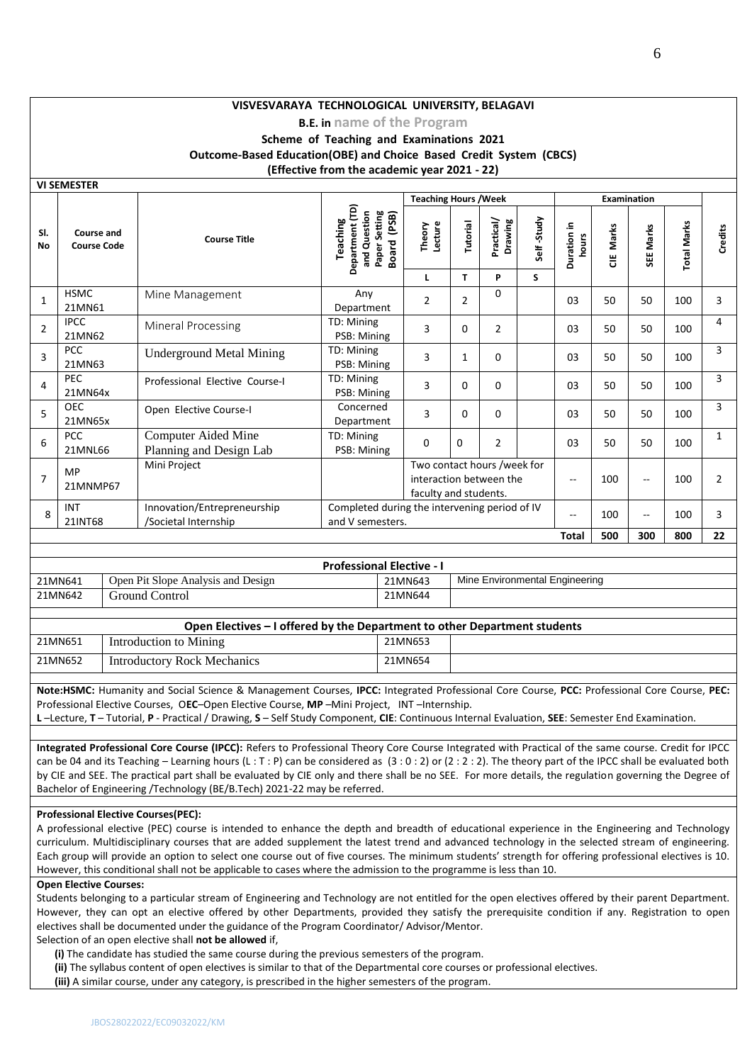# **VISVESVARAYA TECHNOLOGICAL UNIVERSITY, BELAGAVI**

# **B.E. in name of the Program Scheme of Teaching and Examinations 2021**

**Outcome-Based Education(OBE) and Choice Based Credit System (CBCS)**

**(Effective from the academic year 2021 - 22)**

|                  | <b>VI SEMESTER</b>               |                                                     |                                                                                      |                                                                                 |                |                       |            |                      |                    |                          |                    |                |
|------------------|----------------------------------|-----------------------------------------------------|--------------------------------------------------------------------------------------|---------------------------------------------------------------------------------|----------------|-----------------------|------------|----------------------|--------------------|--------------------------|--------------------|----------------|
|                  |                                  |                                                     |                                                                                      | <b>Teaching Hours / Week</b>                                                    |                |                       |            |                      | <b>Examination</b> |                          |                    |                |
| SI.<br><b>No</b> | Course and<br><b>Course Code</b> | <b>Course Title</b>                                 | Department (TD)<br>and Question<br>Paper Setting<br>Board (PSB)<br>Teaching<br>Board | Lecture<br>Theory                                                               | Tutorial       | Practical/<br>Drawing | Self-Study | Duration in<br>hours | Marks<br>쁭         | SEE Marks                | <b>Total Marks</b> | Credits        |
|                  |                                  |                                                     |                                                                                      | L                                                                               | T.             | P                     | S          |                      |                    |                          |                    |                |
| $\mathbf{1}$     | <b>HSMC</b><br>21MN61            | Mine Management                                     | Any<br>Department                                                                    | $\overline{2}$                                                                  | $\overline{2}$ | $\Omega$              |            | 03                   | 50                 | 50                       | 100                | 3              |
| $\overline{2}$   | <b>IPCC</b><br>21MN62            | Mineral Processing                                  | TD: Mining<br>PSB: Mining                                                            | 3                                                                               | 0              | $\overline{2}$        |            | 03                   | 50                 | 50                       | 100                | 4              |
| $\overline{3}$   | <b>PCC</b><br>21MN63             | <b>Underground Metal Mining</b>                     | TD: Mining<br>PSB: Mining                                                            | 3                                                                               | 1              | $\Omega$              |            | 03                   | 50                 | 50                       | 100                | 3              |
| 4                | <b>PEC</b><br>21MN64x            | Professional Elective Course-I                      | TD: Mining<br>PSB: Mining                                                            | 3                                                                               | 0              | $\Omega$              |            | 03                   | 50                 | 50                       | 100                | 3              |
| 5                | <b>OEC</b><br>21MN65x            | Open Elective Course-I                              | Concerned<br>Department                                                              | 3                                                                               | 0              | $\Omega$              |            | 03                   | 50                 | 50                       | 100                | 3              |
| 6                | <b>PCC</b><br>21MNL66            | Computer Aided Mine<br>Planning and Design Lab      | TD: Mining<br>PSB: Mining                                                            | $\Omega$                                                                        | $\Omega$       | $\overline{2}$        |            | 03                   | 50                 | 50                       | 100                | $\mathbf{1}$   |
| $\overline{7}$   | MP<br>21MNMP67                   | Mini Project                                        |                                                                                      | Two contact hours /week for<br>interaction between the<br>faculty and students. |                |                       |            | --                   | 100                | $\overline{a}$           | 100                | $\overline{2}$ |
| 8                | <b>INT</b><br>21INT68            | Innovation/Entrepreneurship<br>/Societal Internship | Completed during the intervening period of IV<br>and V semesters.                    |                                                                                 |                |                       |            | $-$                  | 100                | $\overline{\phantom{a}}$ | 100                | 3              |
|                  |                                  |                                                     |                                                                                      |                                                                                 |                |                       |            | <b>Total</b>         | 500                | 300                      | 800                | 22             |

|         |                                    | <b>Professional Elective - I</b> |                                |
|---------|------------------------------------|----------------------------------|--------------------------------|
| 21MN641 | Open Pit Slope Analysis and Design | 21MN643                          | Mine Environmental Engineering |
| 21MN642 | Ground Control                     | 21MN644                          |                                |

| Open Electives – I offered by the Department to other Department students |                             |         |  |  |  |  |  |  |
|---------------------------------------------------------------------------|-----------------------------|---------|--|--|--|--|--|--|
| 21MN651                                                                   | Introduction to Mining      | 21MN653 |  |  |  |  |  |  |
| 21MN652                                                                   | Introductory Rock Mechanics | 21MN654 |  |  |  |  |  |  |

**Note:HSMC:** Humanity and Social Science & Management Courses, **IPCC:** Integrated Professional Core Course, **PCC:** Professional Core Course, **PEC:** Professional Elective Courses, O**EC**–Open Elective Course, **MP** –Mini Project, INT –Internship.

**L** –Lecture, **T** – Tutorial, **P** - Practical / Drawing, **S** – Self Study Component, **CIE**: Continuous Internal Evaluation, **SEE**: Semester End Examination.

**Integrated Professional Core Course (IPCC):** Refers to Professional Theory Core Course Integrated with Practical of the same course. Credit for IPCC can be 04 and its Teaching – Learning hours (L : T : P) can be considered as  $(3:0:2)$  or  $(2:2:2)$ . The theory part of the IPCC shall be evaluated both by CIE and SEE. The practical part shall be evaluated by CIE only and there shall be no SEE. For more details, the regulation governing the Degree of Bachelor of Engineering /Technology (BE/B.Tech) 2021-22 may be referred.

#### **Professional Elective Courses(PEC):**

A professional elective (PEC) course is intended to enhance the depth and breadth of educational experience in the Engineering and Technology curriculum. Multidisciplinary courses that are added supplement the latest trend and advanced technology in the selected stream of engineering. Each group will provide an option to select one course out of five courses. The minimum students' strength for offering professional electives is 10. However, this conditional shall not be applicable to cases where the admission to the programme is less than 10.

#### **Open Elective Courses:**

Students belonging to a particular stream of Engineering and Technology are not entitled for the open electives offered by their parent Department. However, they can opt an elective offered by other Departments, provided they satisfy the prerequisite condition if any. Registration to open electives shall be documented under the guidance of the Program Coordinator/ Advisor/Mentor.

Selection of an open elective shall **not be allowed** if,

**(i)** The candidate has studied the same course during the previous semesters of the program.

**(ii)** The syllabus content of open electives is similar to that of the Departmental core courses or professional electives.

**(iii)** A similar course, under any category, is prescribed in the higher semesters of the program.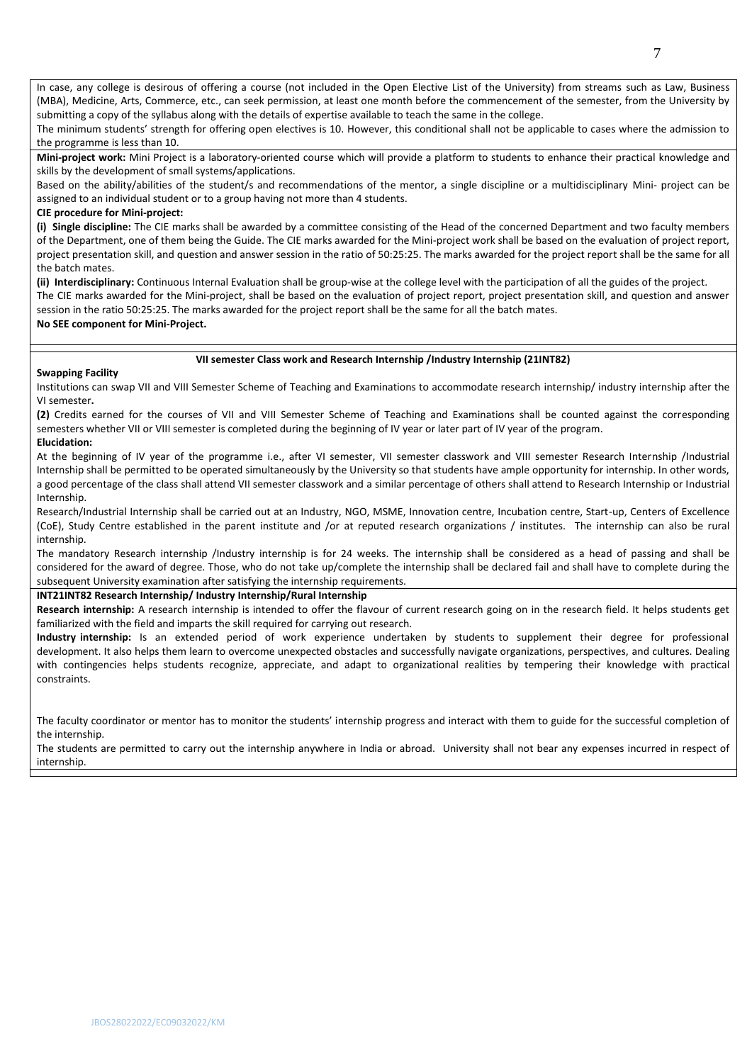In case, any college is desirous of offering a course (not included in the Open Elective List of the University) from streams such as Law, Business (MBA), Medicine, Arts, Commerce, etc., can seek permission, at least one month before the commencement of the semester, from the University by submitting a copy of the syllabus along with the details of expertise available to teach the same in the college.

The minimum students' strength for offering open electives is 10. However, this conditional shall not be applicable to cases where the admission to the programme is less than 10.

**Mini-project work:** Mini Project is a laboratory-oriented course which will provide a platform to students to enhance their practical knowledge and skills by the development of small systems/applications.

Based on the ability/abilities of the student/s and recommendations of the mentor, a single discipline or a multidisciplinary Mini- project can be assigned to an individual student or to a group having not more than 4 students.

## **CIE procedure for Mini-project:**

**(i) Single discipline:** The CIE marks shall be awarded by a committee consisting of the Head of the concerned Department and two faculty members of the Department, one of them being the Guide. The CIE marks awarded for the Mini-project work shall be based on the evaluation of project report, project presentation skill, and question and answer session in the ratio of 50:25:25. The marks awarded for the project report shall be the same for all the batch mates.

**(ii) Interdisciplinary:** Continuous Internal Evaluation shall be group-wise at the college level with the participation of all the guides of the project. The CIE marks awarded for the Mini-project, shall be based on the evaluation of project report, project presentation skill, and question and answer session in the ratio 50:25:25. The marks awarded for the project report shall be the same for all the batch mates.

# **No SEE component for Mini-Project.**

## **VII semester Class work and Research Internship /Industry Internship (21INT82)**

## **Swapping Facility**

Institutions can swap VII and VIII Semester Scheme of Teaching and Examinations to accommodate research internship/ industry internship after the VI semester**.** 

**(2)** Credits earned for the courses of VII and VIII Semester Scheme of Teaching and Examinations shall be counted against the corresponding semesters whether VII or VIII semester is completed during the beginning of IV year or later part of IV year of the program. **Elucidation:**

At the beginning of IV year of the programme i.e., after VI semester, VII semester classwork and VIII semester Research Internship /Industrial Internship shall be permitted to be operated simultaneously by the University so that students have ample opportunity for internship. In other words, a good percentage of the class shall attend VII semester classwork and a similar percentage of others shall attend to Research Internship or Industrial Internship.

Research/Industrial Internship shall be carried out at an Industry, NGO, MSME, Innovation centre, Incubation centre, Start-up, Centers of Excellence (CoE), Study Centre established in the parent institute and /or at reputed research organizations / institutes. The internship can also be rural internship.

The mandatory Research internship /Industry internship is for 24 weeks. The internship shall be considered as a head of passing and shall be considered for the award of degree. Those, who do not take up/complete the internship shall be declared fail and shall have to complete during the subsequent University examination after satisfying the internship requirements.

# **INT21INT82 Research Internship/ Industry Internship/Rural Internship**

**Research internship:** A research internship is intended to offer the flavour of current research going on in the research field. It helps students get familiarized with the field and imparts the skill required for carrying out research.

**Industry internship:** Is an extended period of work experience undertaken by students to supplement their degree for professional development. It also helps them learn to overcome unexpected obstacles and successfully navigate organizations, perspectives, and cultures. Dealing with contingencies helps students recognize, appreciate, and adapt to organizational realities by tempering their knowledge with practical constraints.

The faculty coordinator or mentor has to monitor the students' internship progress and interact with them to guide for the successful completion of the internship.

The students are permitted to carry out the internship anywhere in India or abroad. University shall not bear any expenses incurred in respect of internship.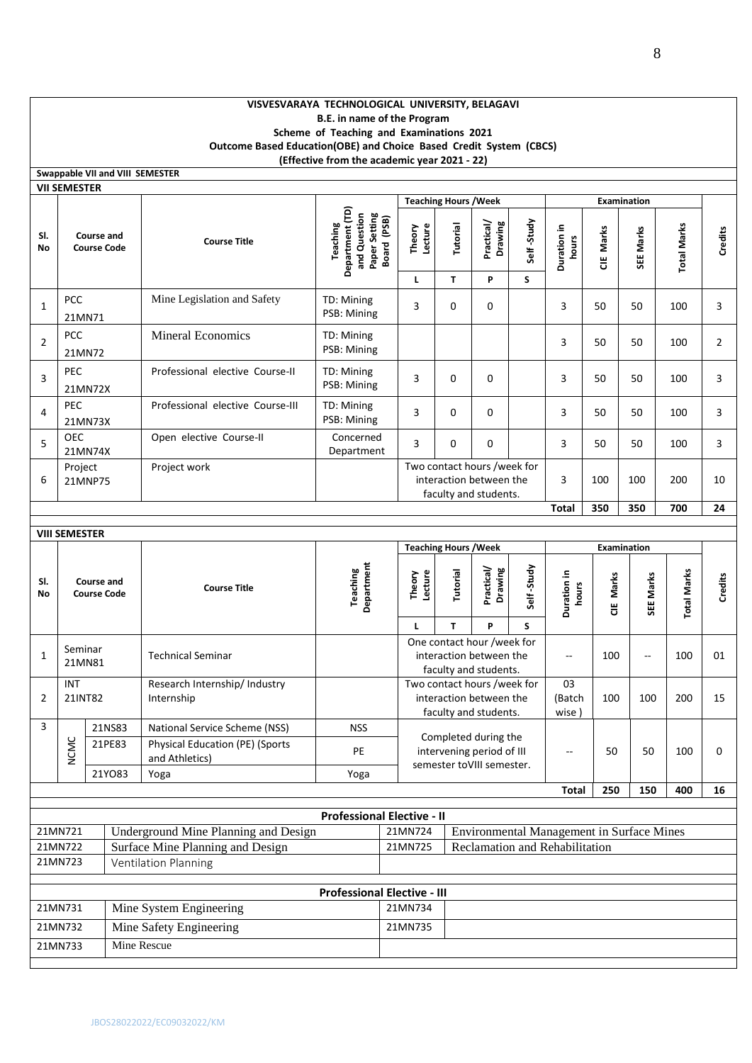## **VISVESVARAYA TECHNOLOGICAL UNIVERSITY, BELAGAVI B.E. in name of the Program Scheme of Teaching and Examinations 2021 Outcome Based Education(OBE) and Choice Based Credit System (CBCS) (Effective from the academic year 2021 - 22)**

|              | Swappable VII and VIII SEMESTER         |        |                                                          |                                                                                    |                   |                              |                                                                                 |            |                                           |           |             |                    |                |
|--------------|-----------------------------------------|--------|----------------------------------------------------------|------------------------------------------------------------------------------------|-------------------|------------------------------|---------------------------------------------------------------------------------|------------|-------------------------------------------|-----------|-------------|--------------------|----------------|
|              | <b>VII SEMESTER</b>                     |        |                                                          |                                                                                    |                   | <b>Teaching Hours / Week</b> |                                                                                 |            |                                           |           | Examination |                    |                |
| SI.<br>No    | <b>Course and</b><br><b>Course Code</b> |        | <b>Course Title</b>                                      | Department (TD)<br>and Question<br>Paper Setting<br>Board (PSB)<br><b>Teaching</b> | Lecture<br>Theory | Tutorial                     | Practical/<br>Drawing                                                           | Self-Study | Duration in<br>hours                      | CIE Marks | SEE Marks   | <b>Total Marks</b> | Credits        |
|              |                                         |        |                                                          |                                                                                    | г                 | T                            | P                                                                               | S          |                                           |           |             |                    |                |
| 1            | <b>PCC</b><br>21MN71                    |        | Mine Legislation and Safety                              | TD: Mining<br>PSB: Mining                                                          | 3                 | 0                            | 0                                                                               |            | 3                                         | 50        | 50          | 100                | 3              |
| 2            | <b>PCC</b><br>21MN72                    |        | <b>Mineral Economics</b>                                 | TD: Mining<br>PSB: Mining                                                          |                   |                              |                                                                                 |            | 3                                         | 50        | 50          | 100                | $\overline{2}$ |
| 3            | <b>PEC</b><br>21MN72X                   |        | Professional elective Course-II                          | TD: Mining<br>PSB: Mining                                                          | 3                 | 0                            | 0                                                                               |            | 3                                         | 50        | 50          | 100                | 3              |
| 4            | <b>PEC</b><br>21MN73X                   |        | Professional elective Course-III                         | TD: Mining<br>PSB: Mining                                                          | 3                 | 0                            | 0                                                                               |            | 3                                         | 50        | 50          | 100                | 3              |
| 5            | <b>OEC</b><br>21MN74X                   |        | Open elective Course-II                                  | Concerned<br>Department                                                            | 3                 | 0                            | 0                                                                               |            | 3                                         | 50        | 50          | 100                | 3              |
| 6            | Project<br>21MNP75                      |        | Project work                                             |                                                                                    |                   |                              | Two contact hours /week for<br>interaction between the<br>faculty and students. |            | 3                                         | 100       | 100         | 200                | 10             |
|              |                                         |        |                                                          |                                                                                    |                   |                              |                                                                                 |            | Total                                     | 350       | 350         | 700                | 24             |
|              |                                         |        |                                                          |                                                                                    |                   |                              |                                                                                 |            |                                           |           |             |                    |                |
|              | <b>VIII SEMESTER</b>                    |        |                                                          |                                                                                    |                   | <b>Teaching Hours / Week</b> |                                                                                 |            |                                           |           | Examination |                    |                |
|              |                                         |        |                                                          |                                                                                    |                   |                              |                                                                                 |            |                                           |           |             |                    |                |
| SI.<br>No    | <b>Course and</b><br><b>Course Code</b> |        | <b>Course Title</b>                                      | Department<br>Teaching                                                             | Theory<br>Lecture | Tutorial                     | Practical/<br>Drawing                                                           | Self-Study | Duration in<br>hours                      | CIE Marks | SEE Marks   |                    | Credits        |
|              |                                         |        |                                                          |                                                                                    | L                 | T                            | P                                                                               | S          |                                           |           |             | <b>Total Marks</b> |                |
| $\mathbf{1}$ | Seminar<br>21MN81                       |        | <b>Technical Seminar</b>                                 |                                                                                    |                   |                              | One contact hour /week for<br>interaction between the<br>faculty and students.  |            | $\overline{a}$                            | 100       | --          | 100                | 01             |
| 2            | <b>INT</b><br>21INT82                   |        | Research Internship/ Industry<br>Internship              |                                                                                    |                   |                              | Two contact hours /week for<br>interaction between the<br>faculty and students. |            | 03<br>(Batch<br>wise)                     | 100       | 100         | 200                | 15             |
| 3            |                                         | 21NS83 | National Service Scheme (NSS)                            | <b>NSS</b>                                                                         |                   |                              |                                                                                 |            |                                           |           |             |                    |                |
|              | <b>NCMC</b>                             | 21PE83 | <b>Physical Education (PE) (Sports</b><br>and Athletics) | PE                                                                                 |                   |                              | Completed during the<br>intervening period of III                               |            | --                                        | 50        | 50          | 100                | 0              |
|              |                                         | 21YO83 | Yoga                                                     | Yoga                                                                               |                   |                              | semester toVIII semester.                                                       |            |                                           |           |             |                    |                |
|              |                                         |        |                                                          |                                                                                    |                   |                              |                                                                                 |            | <b>Total</b>                              | 250       | 150         | 400                | 16             |
|              |                                         |        |                                                          | <b>Professional Elective - II</b>                                                  |                   |                              |                                                                                 |            |                                           |           |             |                    |                |
|              | 21MN721                                 |        | Underground Mine Planning and Design                     |                                                                                    | 21MN724           |                              |                                                                                 |            | Environmental Management in Surface Mines |           |             |                    |                |
|              | 21MN722                                 |        | Surface Mine Planning and Design                         |                                                                                    | 21MN725           |                              |                                                                                 |            | Reclamation and Rehabilitation            |           |             |                    |                |
|              | 21MN723                                 |        | <b>Ventilation Planning</b>                              |                                                                                    |                   |                              |                                                                                 |            |                                           |           |             |                    |                |
|              |                                         |        |                                                          |                                                                                    |                   |                              |                                                                                 |            |                                           |           |             |                    |                |
|              |                                         |        |                                                          | <b>Professional Elective - III</b>                                                 |                   |                              |                                                                                 |            |                                           |           |             |                    |                |
|              | 21MN731                                 |        | Mine System Engineering                                  |                                                                                    | 21MN734           |                              |                                                                                 |            |                                           |           |             |                    |                |
|              | 21MN732<br>21MN733                      |        | Mine Safety Engineering<br>Mine Rescue                   |                                                                                    | 21MN735           |                              |                                                                                 |            |                                           |           |             |                    |                |